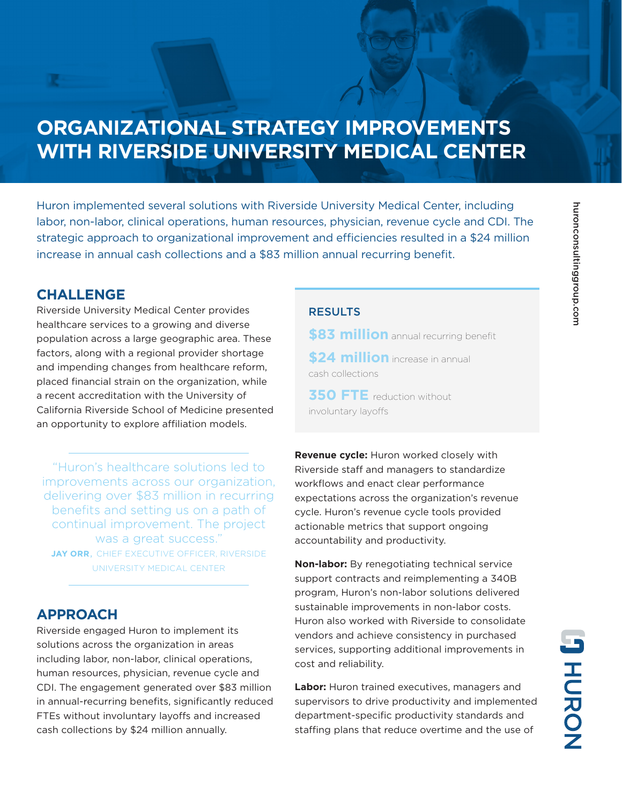# **ORGANIZATIONAL STRATEGY IMPROVEMENTS WITH RIVERSIDE UNIVERSITY MEDICAL CENTER**

Huron implemented several solutions with Riverside University Medical Center, including labor, non-labor, clinical operations, human resources, physician, revenue cycle and CDI. The strategic approach to organizational improvement and efficiencies resulted in a \$24 million increase in annual cash collections and a \$83 million annual recurring benefit.

### **CHALLENGE**

Riverside University Medical Center provides healthcare services to a growing and diverse population across a large geographic area. These factors, along with a regional provider shortage and impending changes from healthcare reform, placed financial strain on the organization, while a recent accreditation with the University of California Riverside School of Medicine presented an opportunity to explore affiliation models.

"Huron's healthcare solutions led to improvements across our organization, delivering over \$83 million in recurring benefits and setting us on a path of continual improvement. The project was a great success." **JAY ORR**, CHIEF EXECUTIVE OFFICER, RIVERSIDE UNIVERSITY MEDICAL CENTER

## **APPROACH**

Riverside engaged Huron to implement its solutions across the organization in areas including labor, non-labor, clinical operations, human resources, physician, revenue cycle and CDI. The engagement generated over \$83 million in annual-recurring benefits, significantly reduced FTEs without involuntary layoffs and increased cash collections by \$24 million annually.

### RESULTS

**\$83 million** annual recurring benefit

**\$24 million** increase in annual cash collections

**350 FTE** reduction without involuntary layoffs

**Revenue cycle:** Huron worked closely with Riverside staff and managers to standardize workflows and enact clear performance expectations across the organization's revenue cycle. Huron's revenue cycle tools provided actionable metrics that support ongoing accountability and productivity.

**Non-labor:** By renegotiating technical service support contracts and reimplementing a 340B program, Huron's non-labor solutions delivered sustainable improvements in non-labor costs. Huron also worked with Riverside to consolidate vendors and achieve consistency in purchased services, supporting additional improvements in cost and reliability.

**Labor:** Huron trained executives, managers and supervisors to drive productivity and implemented department-specific productivity standards and staffing plans that reduce overtime and the use of